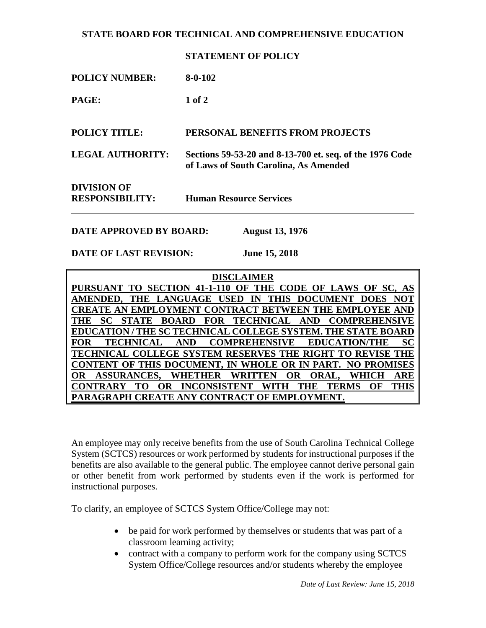### **STATE BOARD FOR TECHNICAL AND COMPREHENSIVE EDUCATION**

#### **STATEMENT OF POLICY**

| <b>POLICY NUMBER:</b>                 | $8-0-102$                                                                                         |
|---------------------------------------|---------------------------------------------------------------------------------------------------|
| PAGE:                                 | $1$ of $2$                                                                                        |
| <b>POLICY TITLE:</b>                  | <b>PERSONAL BENEFITS FROM PROJECTS</b>                                                            |
| <b>LEGAL AUTHORITY:</b>               | Sections 59-53-20 and 8-13-700 et. seq. of the 1976 Code<br>of Laws of South Carolina, As Amended |
| DIVISION OF<br><b>RESPONSIBILITY:</b> | <b>Human Resource Services</b>                                                                    |
|                                       |                                                                                                   |

**DATE APPROVED BY BOARD: August 13, 1976**

**DATE OF LAST REVISION: June 15, 2018**

**DISCLAIMER PURSUANT TO SECTION 41-1-110 OF THE CODE OF LAWS OF SC, AS AMENDED, THE LANGUAGE USED IN THIS DOCUMENT DOES NOT CREATE AN EMPLOYMENT CONTRACT BETWEEN THE EMPLOYEE AND THE SC STATE BOARD FOR TECHNICAL AND COMPREHENSIVE EDUCATION / THE SC TECHNICAL COLLEGE SYSTEM. THE STATE BOARD FOR TECHNICAL AND COMPREHENSIVE EDUCATION/THE SC TECHNICAL COLLEGE SYSTEM RESERVES THE RIGHT TO REVISE THE CONTENT OF THIS DOCUMENT, IN WHOLE OR IN PART. NO PROMISES OR ASSURANCES, WHETHER WRITTEN OR ORAL, WHICH ARE CONTRARY TO OR INCONSISTENT WITH THE TERMS OF THIS PARAGRAPH CREATE ANY CONTRACT OF EMPLOYMENT.**

An employee may only receive benefits from the use of South Carolina Technical College System (SCTCS) resources or work performed by students for instructional purposes if the benefits are also available to the general public. The employee cannot derive personal gain or other benefit from work performed by students even if the work is performed for instructional purposes.

To clarify, an employee of SCTCS System Office/College may not:

- be paid for work performed by themselves or students that was part of a classroom learning activity;
- contract with a company to perform work for the company using SCTCS System Office/College resources and/or students whereby the employee